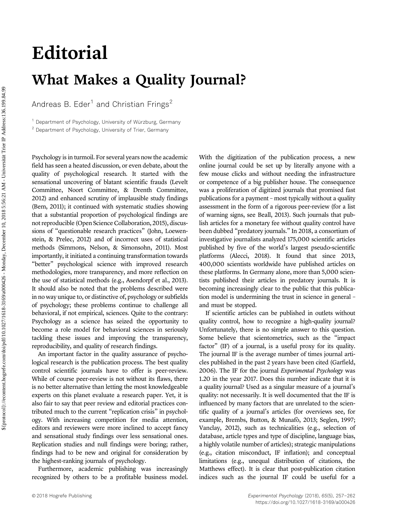# Editorial What Makes a Quality Journal?

Andreas B. Eder<sup>1</sup> and Christian Frings<sup>2</sup>

<sup>1</sup> Department of Psychology, University of Würzburg, Germany <sup>2</sup> Department of Psychology, University of Trier, Germany

Psychology is in turmoil. For several years now the academic field has seen a heated discussion, or even debate, about the quality of psychological research. It started with the sensational uncovering of blatant scientific frauds (Levelt Committee, Noort Committee, & Drenth Committee, 2012) and enhanced scrutiny of implausible study findings (Bem, 2011); it continued with systematic studies showing that a substantial proportion of psychological findings are not reproducible (Open Science Collaboration, 2015), discussions of "questionable research practices" (John, Loewenstein, & Prelec, 2012) and of incorrect uses of statistical methods (Simmons, Nelson, & Simonsohn, 2011). Most importantly, it initiated a continuing transformation towards "better" psychological science with improved research methodologies, more transparency, and more reflection on the use of statistical methods (e.g., Asendorpf et al., 2013). It should also be noted that the problems described were in no way unique to, or distinctive of, psychology or subfields of psychology; these problems continue to challenge all behavioral, if not empirical, sciences. Quite to the contrary: Psychology as a science has seized the opportunity to become a role model for behavioral sciences in seriously tackling these issues and improving the transparency, reproducibility, and quality of research findings.

An important factor in the quality assurance of psychological research is the publication process. The best quality control scientific journals have to offer is peer-review. While of course peer-review is not without its flaws, there is no better alternative than letting the most knowledgeable experts on this planet evaluate a research paper. Yet, it is also fair to say that peer review and editorial practices contributed much to the current "replication crisis" in psychology. With increasing competition for media attention, editors and reviewers were more inclined to accept fancy and sensational study findings over less sensational ones. Replication studies and null findings were boring; rather, findings had to be new and original for consideration by the highest-ranking journals of psychology.

Furthermore, academic publishing was increasingly recognized by others to be a profitable business model. With the digitization of the publication process, a new online journal could be set up by literally anyone with a few mouse clicks and without needing the infrastructure or competence of a big publisher house. The consequence was a proliferation of digitized journals that promised fast publications for a payment – most typically without a quality assessment in the form of a rigorous peer-review (for a list of warning signs, see Beall, 2013). Such journals that publish articles for a monetary fee without quality control have been dubbed "predatory journals." In 2018, a consortium of investigative journalists analyzed 175,000 scientific articles published by five of the world's largest pseudo-scientific platforms (Alecci, 2018). It found that since 2013, 400,000 scientists worldwide have published articles on these platforms. In Germany alone, more than 5,000 scientists published their articles in predatory journals. It is becoming increasingly clear to the public that this publication model is undermining the trust in science in general – and must be stopped.

If scientific articles can be published in outlets without quality control, how to recognize a high-quality journal? Unfortunately, there is no simple answer to this question. Some believe that scientometrics, such as the "impact factor" (IF) of a journal, is a useful proxy for its quality. The journal IF is the average number of times journal articles published in the past 2 years have been cited (Garfield, 2006). The IF for the journal Experimental Psychology was 1.20 in the year 2017. Does this number indicate that it is a quality journal? Used as a singular measure of a journal's quality: not necessarily. It is well documented that the IF is influenced by many factors that are unrelated to the scientific quality of a journal's articles (for overviews see, for example, Brembs, Button, & Munafò, 2013; Seglen, 1997; Vanclay, 2012), such as technicalities (e.g., selection of database, article types and type of discipline, language bias, a highly volatile number of articles); strategic manipulations (e.g., citation misconduct, IF inflation); and conceptual limitations (e.g., unequal distribution of citations, the Matthews effect). It is clear that post-publication citation indices such as the journal IF could be useful for a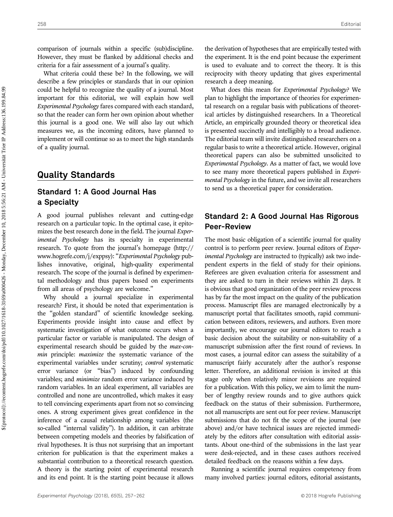comparison of journals within a specific (sub)discipline. However, they must be flanked by additional checks and criteria for a fair assessment of a journal's quality.

What criteria could these be? In the following, we will describe a few principles or standards that in our opinion could be helpful to recognize the quality of a journal. Most important for this editorial, we will explain how well Experimental Psychology fares compared with each standard, so that the reader can form her own opinion about whether this journal is a good one. We will also lay out which measures we, as the incoming editors, have planned to implement or will continue so as to meet the high standards of a quality journal.

# Quality Standards

## Standard 1: A Good Journal Has a Specialty

A good journal publishes relevant and cutting-edge research on a particular topic. In the optimal case, it epitomizes the best research done in the field. The journal *Exper*imental Psychology has its specialty in experimental research. To quote from the journal's homepage ([http://](http://www.hogrefe.com/j/exppsy)) [www.hogrefe.com/j/exppsy\):](http://www.hogrefe.com/j/exppsy)) "Experimental Psychology publishes innovative, original, high-quality experimental research. The scope of the journal is defined by experimental methodology and thus papers based on experiments from all areas of psychology are welcome."

Why should a journal specialize in experimental research? First, it should be noted that experimentation is the "golden standard" of scientific knowledge seeking. Experiments provide insight into cause and effect by systematic investigation of what outcome occurs when a particular factor or variable is manipulated. The design of experimental research should be guided by the *max-con*min principle: maximize the systematic variance of the experimental variables under scrutiny; control systematic error variance (or "bias") induced by confounding variables; and minimize random error variance induced by random variables. In an ideal experiment, all variables are controlled and none are uncontrolled, which makes it easy to tell convincing experiments apart from not so convincing ones. A strong experiment gives great confidence in the inference of a causal relationship among variables (the so-called "internal validity"). In addition, it can arbitrate between competing models and theories by falsification of rival hypotheses. It is thus not surprising that an important criterion for publication is that the experiment makes a substantial contribution to a theoretical research question. A theory is the starting point of experimental research and its end point. It is the starting point because it allows the derivation of hypotheses that are empirically tested with the experiment. It is the end point because the experiment is used to evaluate and to correct the theory. It is this reciprocity with theory updating that gives experimental research a deep meaning.

What does this mean for Experimental Psychology? We plan to highlight the importance of theories for experimental research on a regular basis with publications of theoretical articles by distinguished researchers. In a Theoretical Article, an empirically grounded theory or theoretical idea is presented succinctly and intelligibly to a broad audience. The editorial team will invite distinguished researchers on a regular basis to write a theoretical article. However, original theoretical papers can also be submitted unsolicited to Experimental Psychology. As a matter of fact, we would love to see many more theoretical papers published in Experimental Psychology in the future, and we invite all researchers to send us a theoretical paper for consideration.

### Standard 2: A Good Journal Has Rigorous Peer-Review

The most basic obligation of a scientific journal for quality control is to perform peer review. Journal editors of Experimental Psychology are instructed to (typically) ask two independent experts in the field of study for their opinions. Referees are given evaluation criteria for assessment and they are asked to turn in their reviews within 21 days. It is obvious that good organization of the peer review process has by far the most impact on the quality of the publication process. Manuscript files are managed electronically by a manuscript portal that facilitates smooth, rapid communication between editors, reviewers, and authors. Even more importantly, we encourage our journal editors to reach a basic decision about the suitability or non-suitability of a manuscript submission after the first round of reviews. In most cases, a journal editor can assess the suitability of a manuscript fairly accurately after the author's response letter. Therefore, an additional revision is invited at this stage only when relatively minor revisions are required for a publication. With this policy, we aim to limit the number of lengthy review rounds and to give authors quick feedback on the status of their submission. Furthermore, not all manuscripts are sent out for peer review. Manuscript submissions that do not fit the scope of the journal (see above) and/or have technical issues are rejected immediately by the editors after consultation with editorial assistants. About one-third of the submissions in the last year were desk-rejected, and in these cases authors received detailed feedback on the reasons within a few days.

Running a scientific journal requires competency from many involved parties: journal editors, editorial assistants,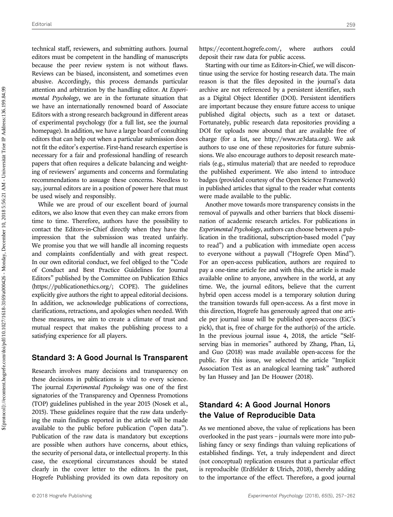technical staff, reviewers, and submitting authors. Journal editors must be competent in the handling of manuscripts because the peer review system is not without flaws. Reviews can be biased, inconsistent, and sometimes even abusive. Accordingly, this process demands particular attention and arbitration by the handling editor. At Experimental Psychology, we are in the fortunate situation that we have an internationally renowned board of Associate Editors with a strong research background in different areas of experimental psychology (for a full list, see the journal homepage). In addition, we have a large board of consulting editors that can help out when a particular submission does not fit the editor's expertise. First-hand research expertise is necessary for a fair and professional handling of research papers that often requires a delicate balancing and weighting of reviewers' arguments and concerns and formulating recommendations to assuage these concerns. Needless to say, journal editors are in a position of power here that must be used wisely and responsibly.

While we are proud of our excellent board of journal editors, we also know that even they can make errors from time to time. Therefore, authors have the possibility to contact the Editors-in-Chief directly when they have the impression that the submission was treated unfairly. We promise you that we will handle all incoming requests and complaints confidentially and with great respect. In our own editorial conduct, we feel obliged to the "Code of Conduct and Best Practice Guidelines for Journal Editors" published by the Committee on Publication Ethics [\(https://publicationethics.org/](https://publicationethics.org/); COPE). The guidelines explicitly give authors the right to appeal editorial decisions. In addition, we acknowledge publications of corrections, clarifications, retractions, and apologies when needed. With these measures, we aim to create a climate of trust and mutual respect that makes the publishing process to a satisfying experience for all players.

#### Standard 3: A Good Journal Is Transparent

Research involves many decisions and transparency on these decisions in publications is vital to every science. The journal *Experimental Psychology* was one of the first signatories of the Transparency and Openness Promotions (TOP) guidelines published in the year 2015 (Nosek et al., 2015). These guidelines require that the raw data underlying the main findings reported in the article will be made available to the public before publication ("open data"). Publication of the raw data is mandatory but exceptions are possible when authors have concerns, about ethics, the security of personal data, or intellectual property. In this case, the exceptional circumstances should be stated clearly in the cover letter to the editors. In the past, Hogrefe Publishing provided its own data repository on <https://econtent.hogrefe.com/>, where authors could deposit their raw data for public access.

Starting with our time as Editors-in-Chief, we will discontinue using the service for hosting research data. The main reason is that the files deposited in the journal's data archive are not referenced by a persistent identifier, such as a Digital Object Identifier (DOI). Persistent identifiers are important because they ensure future access to unique published digital objects, such as a text or dataset. Fortunately, public research data repositories providing a DOI for uploads now abound that are available free of charge (for a list, see [http://www.re](http://www.re3data.org)3data.org). We ask authors to use one of these repositories for future submissions. We also encourage authors to deposit research materials (e.g., stimulus material) that are needed to reproduce the published experiment. We also intend to introduce badges (provided courtesy of the Open Science Framework) in published articles that signal to the reader what contents were made available to the public.

Another move towards more transparency consists in the removal of paywalls and other barriers that block dissemination of academic research articles. For publications in Experimental Psychology, authors can choose between a publication in the traditional, subscription-based model ("pay to read") and a publication with immediate open access to everyone without a paywall ("Hogrefe Open Mind"). For an open-access publication, authors are required to pay a one-time article fee and with this, the article is made available online to anyone, anywhere in the world, at any time. We, the journal editors, believe that the current hybrid open access model is a temporary solution during the transition towards full open-access. As a first move in this direction, Hogrefe has generously agreed that one article per journal issue will be published open-access (EiC's pick), that is, free of charge for the author(s) of the article. In the previous journal issue 4, 2018, the article "Selfserving bias in memories" authored by Zhang, Phan, Li, and Guo (2018) was made available open-access for the public. For this issue, we selected the article "Implicit Association Test as an analogical learning task" authored by Ian Hussey and Jan De Houwer (2018).

## Standard 4: A Good Journal Honors the Value of Reproducible Data

As we mentioned above, the value of replications has been overlooked in the past years – journals were more into publishing fancy or sexy findings than valuing replications of established findings. Yet, a truly independent and direct (not conceptual) replication ensures that a particular effect is reproducible (Erdfelder & Ulrich, 2018), thereby adding to the importance of the effect. Therefore, a good journal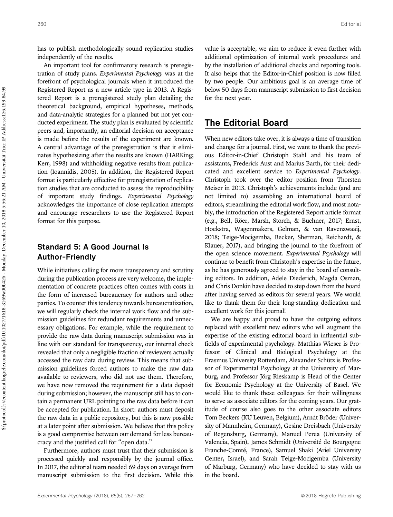has to publish methodologically sound replication studies independently of the results.

An important tool for confirmatory research is preregistration of study plans. Experimental Psychology was at the forefront of psychological journals when it introduced the Registered Report as a new article type in 2013. A Registered Report is a preregistered study plan detailing the theoretical background, empirical hypotheses, methods, and data-analytic strategies for a planned but not yet conducted experiment. The study plan is evaluated by scientific peers and, importantly, an editorial decision on acceptance is made before the results of the experiment are known. A central advantage of the preregistration is that it eliminates hypothesizing after the results are known (HARKing; Kerr, 1998) and withholding negative results from publication (Ioannidis, 2005). In addition, the Registered Report format is particularly effective for preregistration of replication studies that are conducted to assess the reproducibility of important study findings. Experimental Psychology acknowledges the importance of close replication attempts and encourage researchers to use the Registered Report format for this purpose.

## Standard 5: A Good Journal Is Author-Friendly

While initiatives calling for more transparency and scrutiny during the publication process are very welcome, the implementation of concrete practices often comes with costs in the form of increased bureaucracy for authors and other parties. To counter this tendency towards bureaucratization, we will regularly check the internal work flow and the submission guidelines for redundant requirements and unnecessary obligations. For example, while the requirement to provide the raw data during manuscript submission was in line with our standard for transparency, our internal check revealed that only a negligible fraction of reviewers actually accessed the raw data during review. This means that submission guidelines forced authors to make the raw data available to reviewers, who did not use them. Therefore, we have now removed the requirement for a data deposit during submission; however, the manuscript still has to contain a permanent URL pointing to the raw data before it can be accepted for publication. In short: authors must deposit the raw data in a public repository, but this is now possible at a later point after submission. We believe that this policy is a good compromise between our demand for less bureaucracy and the justified call for "open data."

Furthermore, authors must trust that their submission is processed quickly and responsibly by the journal office. In 2017, the editorial team needed 69 days on average from manuscript submission to the first decision. While this

value is acceptable, we aim to reduce it even further with additional optimization of internal work procedures and by the installation of additional checks and reporting tools. It also helps that the Editor-in-Chief position is now filled by two people. Our ambitious goal is an average time of below 50 days from manuscript submission to first decision for the next year.

# The Editorial Board

When new editors take over, it is always a time of transition and change for a journal. First, we want to thank the previous Editor-in-Chief Christoph Stahl and his team of assistants, Frederick Aust and Marius Barth, for their dedicated and excellent service to Experimental Psychology. Christoph took over the editor position from Thorsten Meiser in 2013. Christoph's achievements include (and are not limited to) assembling an international board of editors, streamlining the editorial work flow, and most notably, the introduction of the Registered Report article format (e.g., Bell, Röer, Marsh, Storch, & Buchner, 2017; Ernst, Hoekstra, Wagenmakers, Gelman, & van Ravenzwaaij, 2018; Teige-Mocigemba, Becker, Sherman, Reichardt, & Klauer, 2017), and bringing the journal to the forefront of the open science movement. Experimental Psychology will continue to benefit from Christoph's expertise in the future, as he has generously agreed to stay in the board of consulting editors. In addition, Adele Diederich, Magda Osman, and Chris Donkin have decided to step down from the board after having served as editors for several years. We would like to thank them for their long-standing dedication and excellent work for this journal!

We are happy and proud to have the outgoing editors replaced with excellent new editors who will augment the expertise of the existing editorial board in influential subfields of experimental psychology. Matthias Wieser is Professor of Clinical and Biological Psychology at the Erasmus University Rotterdam, Alexander Schütz is Professor of Experimental Psychology at the University of Marburg, and Professor Jörg Rieskamp is Head of the Center for Economic Psychology at the University of Basel. We would like to thank these colleagues for their willingness to serve as associate editors for the coming years. Our gratitude of course also goes to the other associate editors Tom Beckers (KU Leuven, Belgium), Arndt Bröder (University of Mannheim, Germany), Gesine Dreisbach (University of Regensburg, Germany), Manuel Perea (University of Valencia, Spain), James Schmidt (Université de Bourgogne Franche-Comté, France), Samuel Shaki (Ariel University Center, Israel), and Sarah Teige-Mocigemba (University of Marburg, Germany) who have decided to stay with us in the board.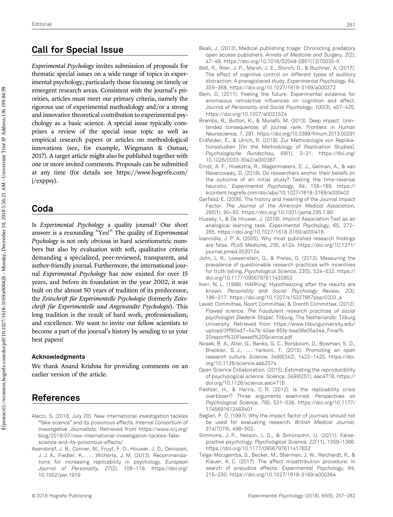# Call for Special Issue

Experimental Psychology invites submission of proposals for thematic special issues on a wide range of topics in experimental psychology, particularly those focusing on timely or emergent research areas. Consistent with the journal's priorities, articles must meet our primary criteria, namely the rigorous use of experimental methodology and/or a strong and innovative theoretical contribution to experimental psychology as a basic science. A special issue typically comprises a review of the special issue topic as well as empirical research papers or articles on methodological innovations (see, for example, Wiegmann & Osman, 2017). A target article might also be published together with one or more invited comments. Proposals can be submitted at any time (for details see [https://www.hogrefe.com/](https://www.hogrefe.com/j/exppsy) [j/exppsy](https://www.hogrefe.com/j/exppsy)).

## Coda

Is Experimental Psychology a quality journal? Our short answer is a resounding "Yes!" The quality of Experimental Psychology is not only obvious in hard scientiometric numbers but also by evaluation with soft, qualitative criteria demanding a specialized, peer-reviewed, transparent, and author-friendly journal. Furthermore, the international journal Experimental Psychology has now existed for over 15 years, and before its foundation in the year 2002, it was built on the almost 50 years of tradition of its predecessor, the Zeitschrift für Experimentelle Psychologie (formerly Zeitschrift für Experimentelle und Angewandte Psychologie). This long tradition is the result of hard work, professionalism, and excellence. We want to invite our fellow scientists to become a part of the journal's history by sending to us your best papers!

#### Acknowledgments

We thank Anand Krishna for providing comments on an earlier version of the article.

# References

- Alecci, S. (2018, July 20). New international investigation tackles "fake science" and its poisonous effects. Internal Consortium of Investigative Journalists. [Retrieved from https://www.icij.org/](http://dx.doi.org/) [blog/2018/07/new-international-investigation-tackles-fake](http://dx.doi.org/)[science-and-its-poisonous-effects/](http://dx.doi.org/).
- Asendorpf, J. B., Conner, M., Fruyt, F. D., Houwer, J. D., Denissen, J. J. A., Fiedler, K., ... Wicherts, J. M. (2013). Recommendations for increasing replicability in psychology. European Journal of Personality, 27(2), 108–119. [https://doi.org/](http://dx.doi.org/) [10.1002/per.1919](http://dx.doi.org/)
- Beall, J. (2013). Medical publishing triage: Chronicling predatory open access publishers. Annals of Medicine and Surgery, 2(2), 47–49. [https://doi.org/10.1016/S2049-0801\(13\)70035-9](https://doi.org/10.1016/S2049-0801(13)70035-9)
- Bell, R., Röer, J. P., Marsh, J. E., Storch, D., & Buchner, A. (2017). The effect of cognitive control on different types of auditory distraction: A preregistered study. Experimental Psychology, 64, 359–368.<https://doi.org/10.1027/1618-3169/a000372>
- Bem, D. (2011). Feeling the future: Experimental evidence for anomalous retroactive influences on cognition and affect. Journal of Personality and Social Psychology, 100(3), 407–425. <https://doi.org/10.1037/a0021524>
- Brembs, B., Button, K., & Munafò, M. (2013). Deep impact: Unintended consequences of journal rank. Frontiers in Human Neuroscience, 7, 291.<https://doi.org/10.3389/fnhum.2013.00291>
- Erdfelder, E., & Ulrich, R. (2018). Zur Methodologie von Replikationsstudien [On the Methodology of Replication Studies]. Psychologische Rundschau, 69(1), 3–21. [https://doi.org/](http://dx.doi.org/) [10.1026/0033-3042/a000387](http://dx.doi.org/)
- Ernst, A. F., Hoekstra, R., Wagenmakers, E. J., Gelman, A., & van Ravenzwaaij, D. (2018). Do researchers anchor their beliefs on the outcome of an initial study? Testing the time-reversal heuristic. Experimental Psychology, 64, 158–169. [https://](http://dx.doi.org/) [econtent.hogrefe.com/doi/abs/10.1027/1618-3169/a000402](http://dx.doi.org/)
- Garfield, E. (2006). The history and meaning of the Journal Impact Factor. The Journal of the American Medical Association, 295(1), 90–93.<https://doi.org/10.1001/jama.295.1.90>
- Hussey, I., & De Houwer, J. (2018). Implicit Association Test as an analogical learning task. Experimental Psychology, 65, 272– 285.<https://doi.org/10.1027/1618-3169/a000416>
- Ioannidis, J. P. A. (2005). Why most published research findings are false. PLoS Medicine, 2(8), e124. [https://doi.org/10.1371/](http://dx.doi.org/) [journal.pmed.0020124](http://dx.doi.org/)
- John, L. K., Loewenstein, G., & Prelec, D. (2012). Measuring the prevalence of questionable research practices with incentives for truth telling. Psychological Science, 23(5), 524–532. [https://](http://dx.doi.org/) [doi.org/10.1177/0956797611430953](http://dx.doi.org/)
- Kerr, N. L. (1998). HARKing: Hypothesizing after the results are known. Personality and Social Psychology Review, 2(3), 196–217. [https://doi.org/10.1207/s15327957pspr0203\\_4](https://doi.org/10.1207/s15327957pspr0203_4)
- Levelt Committee, Noort Committee, & Drenth Committee. (2012). Flawed science: The fraudulent research practices of social psychologist Diederik Stapel. Tilburg, The Netherlands: Tilburg University. [Retrieved from https://www.tilburguniversity.edu/](http://dx.doi.org/) upload/3ff904d7–[547b-40ae-85fe-bea38e05a34a\\_Final%](http://dx.doi.org/) [20report%20Flawed%20Science.pdf](http://dx.doi.org/)
- Nosek, B. A., Alter, G., Banks, G. C., Borsboom, D., Bowman, S. D., Breckler, S. J., ... Yarkoni, T. (2015). Promoting an open research culture. Science, 348(6242), 1422–1425. [https://doi.](http://dx.doi.org/) [org/10.1126/science.aab2374](http://dx.doi.org/)
- Open Science Collaboration. (2015). Estimating the reproducibility of psychological science. Science, 349(6251), aac4716. [https://](http://dx.doi.org/) [doi.org/10.1126/science.aac4716](http://dx.doi.org/)
- Pashler, H., & Harris, C. R. (2012). Is the replicability crisis overblown? Three arguments examined. Perspectives on Psychological Science, 7(6), 531–536. [https://doi.org/10.1177/](http://dx.doi.org/) [1745691612463401](http://dx.doi.org/)
- Seglen, P. O. (1997). Why the impact factor of journals should not be used for evaluating research. British Medical Journal, 314(7079), 498–502.
- Simmons, J. P., Nelson, L. D., & Simonsohn, U. (2011). Falsepositive psychology. Psychological Science, 22(11), 1359–1366. <https://doi.org/10.1177/0956797611417632>
- Teige-Mocigemba, S., Becker, M., Sherman, J. W., Reichardt, R., & Klauer, K. C. (2017). The affect misattribution procedure: In search of prejudice effects. Experimental Psychology, 64, 215–230.<https://doi.org/10.1027/1618-3169/a000364>